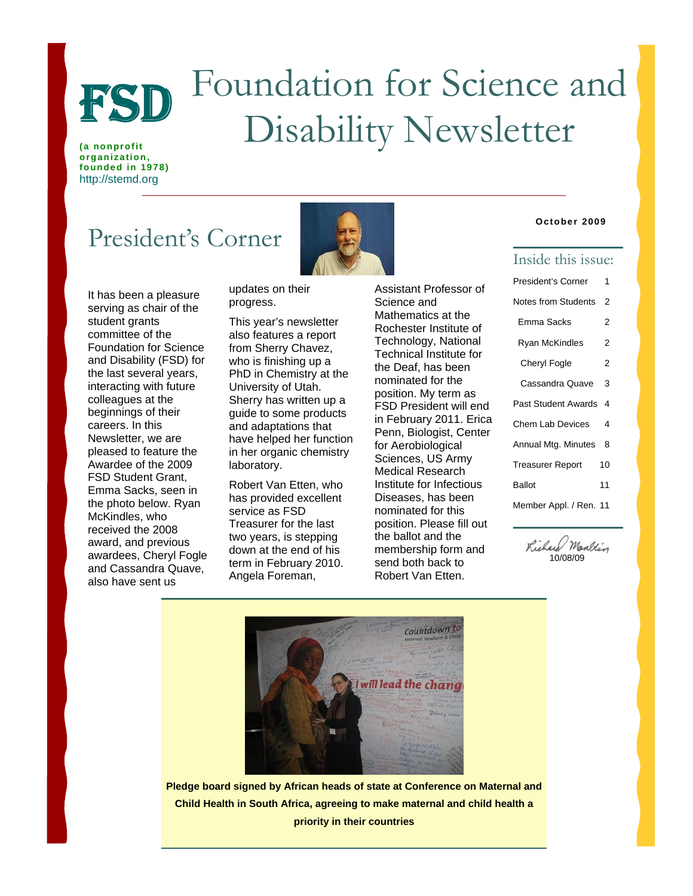

# Foundation for Science and FSD Foundation for Science and Disability Newsletter

**(a nonprofit organization, founded in 1978)**  http://stemd.org

## President's Corner



updates on their progress.

This year's newsletter also features a report from Sherry Chavez, who is finishing up a PhD in Chemistry at the University of Utah. Sherry has written up a guide to some products and adaptations that have helped her function in her organic chemistry laboratory.

Robert Van Etten, who has provided excellent service as FSD Treasurer for the last two years, is stepping down at the end of his term in February 2010. Angela Foreman,

Assistant Professor of Science and Mathematics at the Rochester Institute of Technology, National Technical Institute for the Deaf, has been nominated for the position. My term as FSD President will end in February 2011. Erica Penn, Biologist, Center for Aerobiological Sciences, US Army Medical Research Institute for Infectious Diseases, has been nominated for this position. Please fill out the ballot and the membership form and send both back to Robert Van Etten.

#### **October 2009**

### Inside this issue:

| President's Corner      | 1  |
|-------------------------|----|
| Notes from Students     | 2  |
| Emma Sacks              | 2  |
| <b>Ryan McKindles</b>   | 2  |
| <b>Cheryl Fogle</b>     | 2  |
| Cassandra Quave         | 3  |
| Past Student Awards     | 4  |
| <b>Chem Lab Devices</b> | 4  |
| Annual Mtg. Minutes     | 8  |
| <b>Treasurer Report</b> | 10 |
| Ballot                  | 11 |
| Member Appl. / Ren. 11  |    |

Richard Marken 10/08/09



**Pledge board signed by African heads of state at Conference on Maternal and Child Health in South Africa, agreeing to make maternal and child health a priority in their countries**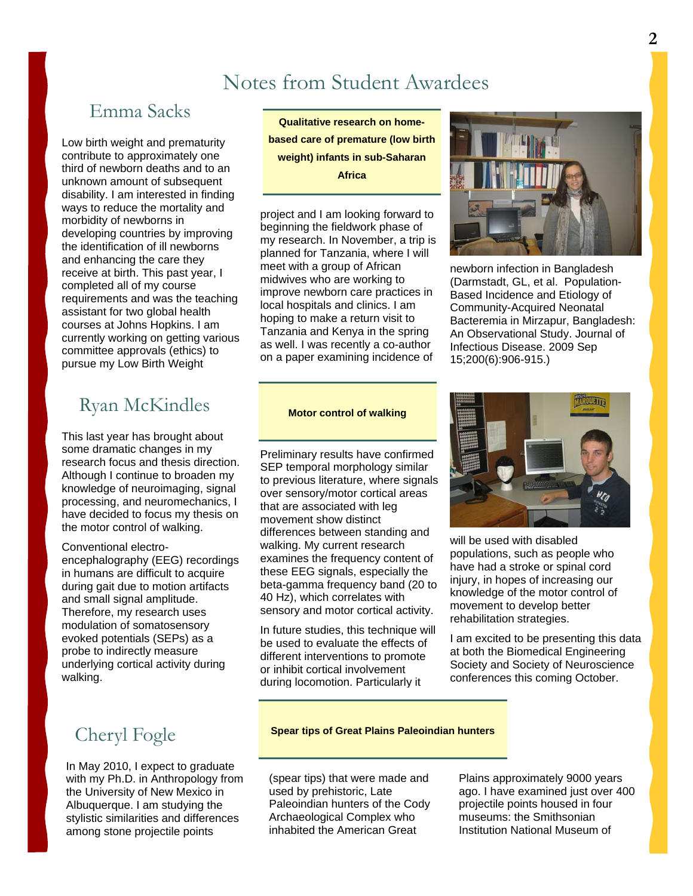## Notes from Student Awardees

### Emma Sacks

Low birth weight and prematurity contribute to approximately one third of newborn deaths and to an unknown amount of subsequent disability. I am interested in finding ways to reduce the mortality and morbidity of newborns in developing countries by improving the identification of ill newborns and enhancing the care they receive at birth. This past year, I completed all of my course requirements and was the teaching assistant for two global health courses at Johns Hopkins. I am currently working on getting various committee approvals (ethics) to pursue my Low Birth Weight

## Ryan McKindles **Motor control of walking**

This last year has brought about some dramatic changes in my research focus and thesis direction. Although I continue to broaden my knowledge of neuroimaging, signal processing, and neuromechanics, I have decided to focus my thesis on the motor control of walking.

Conventional electroencephalography (EEG) recordings in humans are difficult to acquire during gait due to motion artifacts and small signal amplitude. Therefore, my research uses modulation of somatosensory evoked potentials (SEPs) as a probe to indirectly measure underlying cortical activity during walking.

In May 2010, I expect to graduate with my Ph.D. in Anthropology from the University of New Mexico in Albuquerque. I am studying the stylistic similarities and differences among stone projectile points

**Qualitative research on homebased care of premature (low birth weight) infants in sub-Saharan Africa** 

project and I am looking forward to beginning the fieldwork phase of my research. In November, a trip is planned for Tanzania, where I will meet with a group of African midwives who are working to improve newborn care practices in local hospitals and clinics. I am hoping to make a return visit to Tanzania and Kenya in the spring as well. I was recently a co-author on a paper examining incidence of



newborn infection in Bangladesh (Darmstadt, GL, et al. Population-Based Incidence and Etiology of Community-Acquired Neonatal Bacteremia in Mirzapur, Bangladesh: An Observational Study. Journal of Infectious Disease. 2009 Sep 15;200(6):906-915.)

Preliminary results have confirmed SEP temporal morphology similar to previous literature, where signals over sensory/motor cortical areas that are associated with leg movement show distinct differences between standing and walking. My current research examines the frequency content of these EEG signals, especially the beta-gamma frequency band (20 to 40 Hz), which correlates with sensory and motor cortical activity.

In future studies, this technique will be used to evaluate the effects of different interventions to promote or inhibit cortical involvement during locomotion. Particularly it



will be used with disabled populations, such as people who have had a stroke or spinal cord injury, in hopes of increasing our knowledge of the motor control of movement to develop better rehabilitation strategies.

I am excited to be presenting this data at both the Biomedical Engineering Society and Society of Neuroscience conferences this coming October.

### Cheryl Fogle **Spear tips of Great Plains Paleoindian hunters**

(spear tips) that were made and used by prehistoric, Late Paleoindian hunters of the Cody Archaeological Complex who inhabited the American Great

Plains approximately 9000 years ago. I have examined just over 400 projectile points housed in four museums: the Smithsonian Institution National Museum of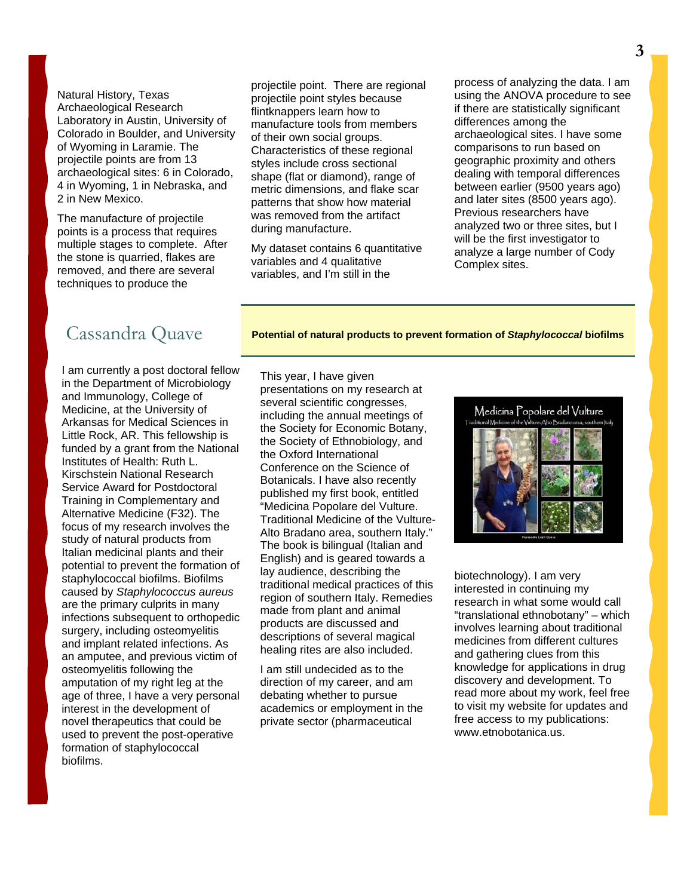Natural History, Texas Archaeological Research Laboratory in Austin, University of Colorado in Boulder, and University of Wyoming in Laramie. The projectile points are from 13 archaeological sites: 6 in Colorado, 4 in Wyoming, 1 in Nebraska, and 2 in New Mexico.

The manufacture of projectile points is a process that requires multiple stages to complete. After the stone is quarried, flakes are removed, and there are several techniques to produce the

projectile point. There are regional projectile point styles because flintknappers learn how to manufacture tools from members of their own social groups. Characteristics of these regional styles include cross sectional shape (flat or diamond), range of metric dimensions, and flake scar patterns that show how material was removed from the artifact during manufacture.

My dataset contains 6 quantitative variables and 4 qualitative variables, and I'm still in the

process of analyzing the data. I am using the ANOVA procedure to see if there are statistically significant differences among the archaeological sites. I have some comparisons to run based on geographic proximity and others dealing with temporal differences between earlier (9500 years ago) and later sites (8500 years ago). Previous researchers have analyzed two or three sites, but I will be the first investigator to analyze a large number of Cody Complex sites.

Cassandra Quave **Potential of natural products to prevent formation of** *Staphylococcal* **biofilms** 

I am currently a post doctoral fellow in the Department of Microbiology and Immunology, College of Medicine, at the University of Arkansas for Medical Sciences in Little Rock, AR. This fellowship is funded by a grant from the National Institutes of Health: Ruth L. Kirschstein National Research Service Award for Postdoctoral Training in Complementary and Alternative Medicine (F32). The focus of my research involves the study of natural products from Italian medicinal plants and their potential to prevent the formation of staphylococcal biofilms. Biofilms caused by *Staphylococcus aureus* are the primary culprits in many infections subsequent to orthopedic surgery, including osteomyelitis and implant related infections. As an amputee, and previous victim of osteomyelitis following the amputation of my right leg at the age of three, I have a very personal interest in the development of novel therapeutics that could be used to prevent the post-operative formation of staphylococcal biofilms.

This year, I have given presentations on my research at several scientific congresses, including the annual meetings of the Society for Economic Botany, the Society of Ethnobiology, and the Oxford International Conference on the Science of Botanicals. I have also recently published my first book, entitled "Medicina Popolare del Vulture. Traditional Medicine of the Vulture-Alto Bradano area, southern Italy." The book is bilingual (Italian and English) and is geared towards a lay audience, describing the traditional medical practices of this region of southern Italy. Remedies made from plant and animal products are discussed and descriptions of several magical healing rites are also included.

I am still undecided as to the direction of my career, and am debating whether to pursue academics or employment in the private sector (pharmaceutical



biotechnology). I am very interested in continuing my research in what some would call "translational ethnobotany" – which involves learning about traditional medicines from different cultures and gathering clues from this knowledge for applications in drug discovery and development. To read more about my work, feel free to visit my website for updates and free access to my publications: www.etnobotanica.us.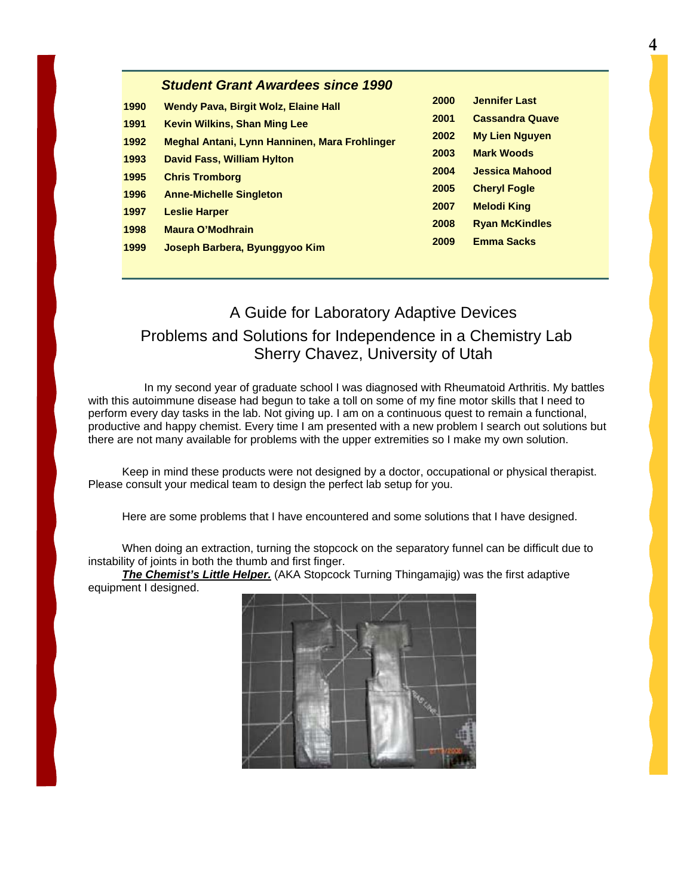|      | <b>Student Grant Awardees since 1990</b>      |      |                        |
|------|-----------------------------------------------|------|------------------------|
| 1990 | <b>Wendy Pava, Birgit Wolz, Elaine Hall</b>   | 2000 | <b>Jennifer Last</b>   |
| 1991 | <b>Kevin Wilkins, Shan Ming Lee</b>           | 2001 | <b>Cassandra Quave</b> |
| 1992 | Meghal Antani, Lynn Hanninen, Mara Frohlinger | 2002 | <b>My Lien Nguyen</b>  |
| 1993 | <b>David Fass, William Hylton</b>             | 2003 | <b>Mark Woods</b>      |
| 1995 | <b>Chris Tromborg</b>                         | 2004 | <b>Jessica Mahood</b>  |
| 1996 | <b>Anne-Michelle Singleton</b>                | 2005 | <b>Cheryl Fogle</b>    |
| 1997 | <b>Leslie Harper</b>                          | 2007 | <b>Melodi King</b>     |
| 1998 | <b>Maura O'Modhrain</b>                       | 2008 | <b>Ryan McKindles</b>  |
| 1999 | Joseph Barbera, Byunggyoo Kim                 | 2009 | <b>Emma Sacks</b>      |
|      |                                               |      |                        |

### A Guide for Laboratory Adaptive Devices Problems and Solutions for Independence in a Chemistry Lab Sherry Chavez, University of Utah

 In my second year of graduate school I was diagnosed with Rheumatoid Arthritis. My battles with this autoimmune disease had begun to take a toll on some of my fine motor skills that I need to perform every day tasks in the lab. Not giving up. I am on a continuous quest to remain a functional, productive and happy chemist. Every time I am presented with a new problem I search out solutions but there are not many available for problems with the upper extremities so I make my own solution.

Keep in mind these products were not designed by a doctor, occupational or physical therapist. Please consult your medical team to design the perfect lab setup for you.

Here are some problems that I have encountered and some solutions that I have designed.

When doing an extraction, turning the stopcock on the separatory funnel can be difficult due to instability of joints in both the thumb and first finger.

*The Chemist's Little Helper.* (AKA Stopcock Turning Thingamajig) was the first adaptive equipment I designed.

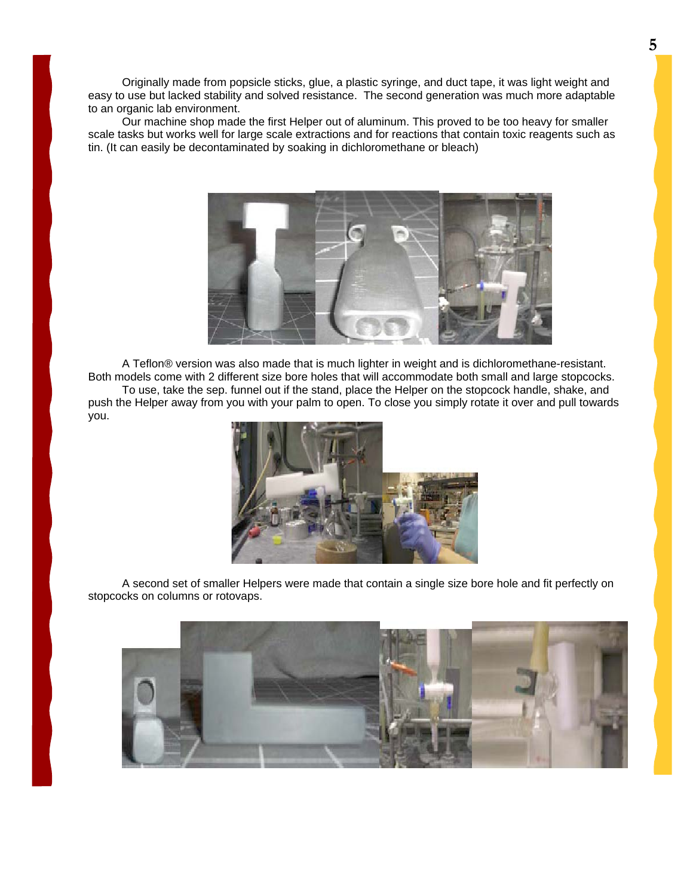Originally made from popsicle sticks, glue, a plastic syringe, and duct tape, it was light weight and easy to use but lacked stability and solved resistance. The second generation was much more adaptable to an organic lab environment.

Our machine shop made the first Helper out of aluminum. This proved to be too heavy for smaller scale tasks but works well for large scale extractions and for reactions that contain toxic reagents such as tin. (It can easily be decontaminated by soaking in dichloromethane or bleach)



A Teflon® version was also made that is much lighter in weight and is dichloromethane-resistant. Both models come with 2 different size bore holes that will accommodate both small and large stopcocks.

To use, take the sep. funnel out if the stand, place the Helper on the stopcock handle, shake, and push the Helper away from you with your palm to open. To close you simply rotate it over and pull towards you.



A second set of smaller Helpers were made that contain a single size bore hole and fit perfectly on stopcocks on columns or rotovaps.

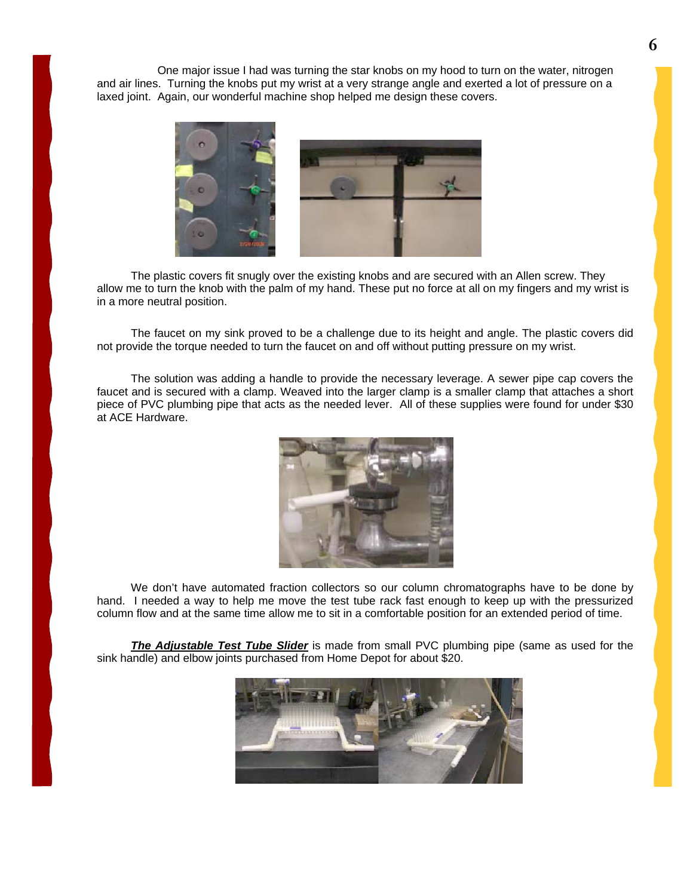One major issue I had was turning the star knobs on my hood to turn on the water, nitrogen and air lines. Turning the knobs put my wrist at a very strange angle and exerted a lot of pressure on a laxed joint. Again, our wonderful machine shop helped me design these covers.



The plastic covers fit snugly over the existing knobs and are secured with an Allen screw. They allow me to turn the knob with the palm of my hand. These put no force at all on my fingers and my wrist is in a more neutral position.

The faucet on my sink proved to be a challenge due to its height and angle. The plastic covers did not provide the torque needed to turn the faucet on and off without putting pressure on my wrist.

The solution was adding a handle to provide the necessary leverage. A sewer pipe cap covers the faucet and is secured with a clamp. Weaved into the larger clamp is a smaller clamp that attaches a short piece of PVC plumbing pipe that acts as the needed lever. All of these supplies were found for under \$30 at ACE Hardware.



We don't have automated fraction collectors so our column chromatographs have to be done by hand. I needed a way to help me move the test tube rack fast enough to keep up with the pressurized column flow and at the same time allow me to sit in a comfortable position for an extended period of time.

*The Adjustable Test Tube Slider* is made from small PVC plumbing pipe (same as used for the sink handle) and elbow joints purchased from Home Depot for about \$20.

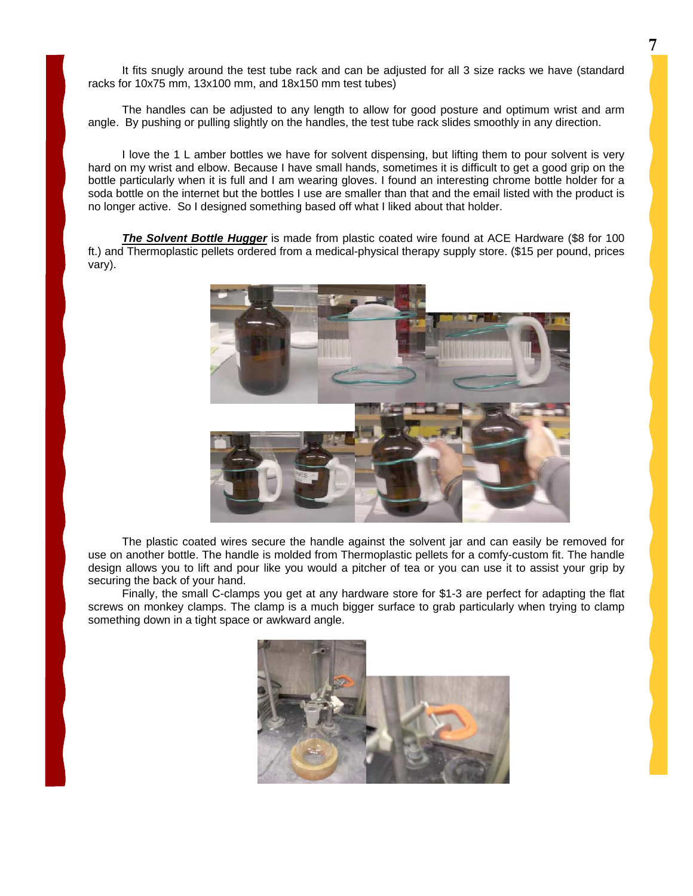It fits snugly around the test tube rack and can be adjusted for all 3 size racks we have (standard racks for 10x75 mm, 13x100 mm, and 18x150 mm test tubes)

The handles can be adjusted to any length to allow for good posture and optimum wrist and arm angle. By pushing or pulling slightly on the handles, the test tube rack slides smoothly in any direction.

I love the 1 L amber bottles we have for solvent dispensing, but lifting them to pour solvent is very hard on my wrist and elbow. Because I have small hands, sometimes it is difficult to get a good grip on the bottle particularly when it is full and I am wearing gloves. I found an interesting chrome bottle holder for a soda bottle on the internet but the bottles I use are smaller than that and the email listed with the product is no longer active. So I designed something based off what I liked about that holder.

**The Solvent Bottle Hugger** is made from plastic coated wire found at ACE Hardware (\$8 for 100 ft.) and Thermoplastic pellets ordered from a medical-physical therapy supply store. (\$15 per pound, prices vary).



The plastic coated wires secure the handle against the solvent jar and can easily be removed for use on another bottle. The handle is molded from Thermoplastic pellets for a comfy-custom fit. The handle design allows you to lift and pour like you would a pitcher of tea or you can use it to assist your grip by securing the back of your hand.

Finally, the small C-clamps you get at any hardware store for \$1-3 are perfect for adapting the flat screws on monkey clamps. The clamp is a much bigger surface to grab particularly when trying to clamp something down in a tight space or awkward angle.

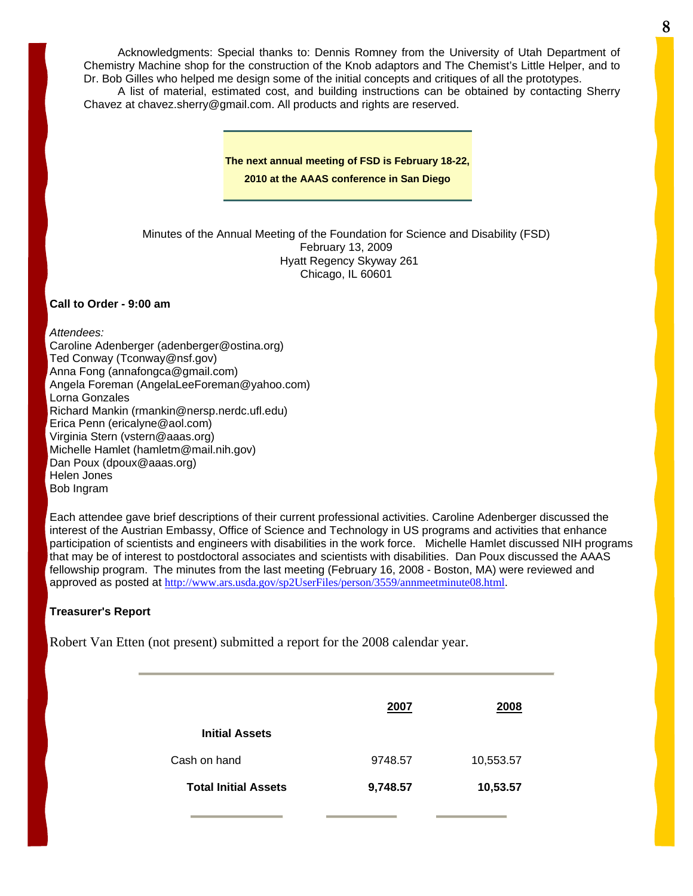Acknowledgments: Special thanks to: Dennis Romney from the University of Utah Department of Chemistry Machine shop for the construction of the Knob adaptors and The Chemist's Little Helper, and to Dr. Bob Gilles who helped me design some of the initial concepts and critiques of all the prototypes.

A list of material, estimated cost, and building instructions can be obtained by contacting Sherry Chavez at chavez.sherry@gmail.com. All products and rights are reserved.

**The next annual meeting of FSD is February 18-22,** 

**2010 at the AAAS conference in San Diego** 

Minutes of the Annual Meeting of the Foundation for Science and Disability (FSD) February 13, 2009 Hyatt Regency Skyway 261 Chicago, IL 60601

#### **Call to Order - 9:00 am**

*Attendees:* Caroline Adenberger (adenberger@ostina.org) Ted Conway (Tconway@nsf.gov) Anna Fong (annafongca@gmail.com) Angela Foreman (AngelaLeeForeman@yahoo.com) Lorna Gonzales Richard Mankin (rmankin@nersp.nerdc.ufl.edu) Erica Penn (ericalyne@aol.com) Virginia Stern (vstern@aaas.org) Michelle Hamlet (hamletm@mail.nih.gov) Dan Poux (dpoux@aaas.org) Helen Jones Bob Ingram

Each attendee gave brief descriptions of their current professional activities. Caroline Adenberger discussed the interest of the Austrian Embassy, Office of Science and Technology in US programs and activities that enhance participation of scientists and engineers with disabilities in the work force. Michelle Hamlet discussed NIH programs that may be of interest to postdoctoral associates and scientists with disabilities. Dan Poux discussed the AAAS fellowship program. The minutes from the last meeting (February 16, 2008 - Boston, MA) were reviewed and approved as posted at <http://www.ars.usda.gov/sp2UserFiles/person/3559/annmeetminute08.html>.

#### **Treasurer's Report**

Robert Van Etten (not present) submitted a report for the 2008 calendar year.

|                             | 2007     | 2008      |
|-----------------------------|----------|-----------|
| <b>Initial Assets</b>       |          |           |
| Cash on hand                | 9748.57  | 10,553.57 |
| <b>Total Initial Assets</b> | 9,748.57 | 10,53.57  |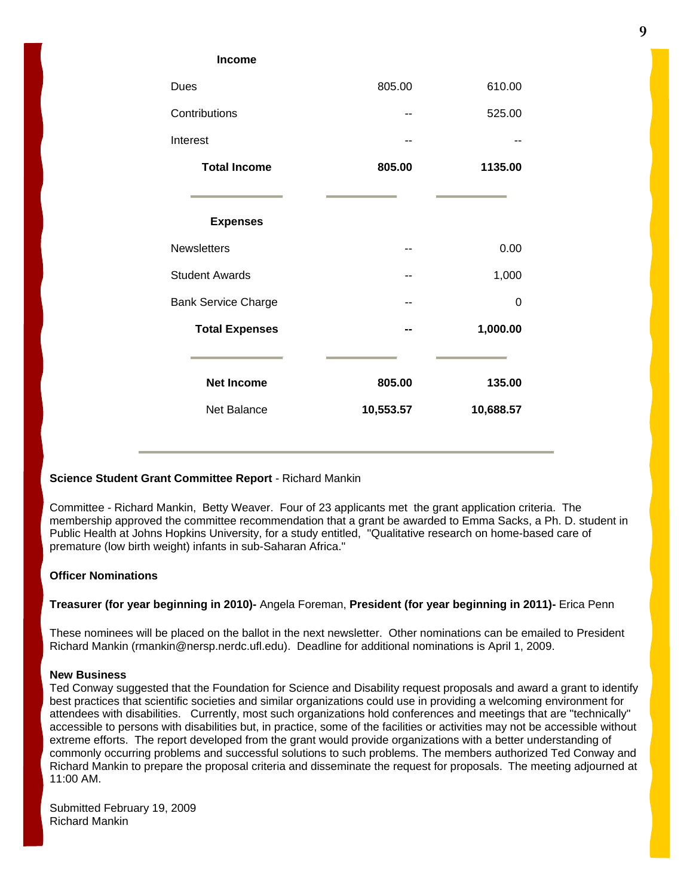#### **Income**

| Dues                       | 805.00    | 610.00    |
|----------------------------|-----------|-----------|
| Contributions              |           | 525.00    |
| Interest                   |           |           |
| <b>Total Income</b>        | 805.00    | 1135.00   |
|                            |           |           |
| <b>Expenses</b>            |           |           |
| <b>Newsletters</b>         |           | 0.00      |
| <b>Student Awards</b>      |           | 1,000     |
| <b>Bank Service Charge</b> |           | 0         |
| <b>Total Expenses</b>      |           | 1,000.00  |
| <b>Net Income</b>          | 805.00    | 135.00    |
| Net Balance                | 10,553.57 | 10,688.57 |
|                            |           |           |

#### **Science Student Grant Committee Report** - Richard Mankin

Committee - Richard Mankin, Betty Weaver. Four of 23 applicants met the grant application criteria. The membership approved the committee recommendation that a grant be awarded to Emma Sacks, a Ph. D. student in Public Health at Johns Hopkins University, for a study entitled, "Qualitative research on home-based care of premature (low birth weight) infants in sub-Saharan Africa."

#### **Officer Nominations**

#### **Treasurer (for year beginning in 2010)-** Angela Foreman, **President (for year beginning in 2011)-** Erica Penn

These nominees will be placed on the ballot in the next newsletter. Other nominations can be emailed to President Richard Mankin (rmankin@nersp.nerdc.ufl.edu). Deadline for additional nominations is April 1, 2009.

#### **New Business**

Ted Conway suggested that the Foundation for Science and Disability request proposals and award a grant to identify best practices that scientific societies and similar organizations could use in providing a welcoming environment for attendees with disabilities. Currently, most such organizations hold conferences and meetings that are "technically" accessible to persons with disabilities but, in practice, some of the facilities or activities may not be accessible without extreme efforts. The report developed from the grant would provide organizations with a better understanding of commonly occurring problems and successful solutions to such problems. The members authorized Ted Conway and Richard Mankin to prepare the proposal criteria and disseminate the request for proposals. The meeting adjourned at 11:00 AM.

Submitted February 19, 2009 Richard Mankin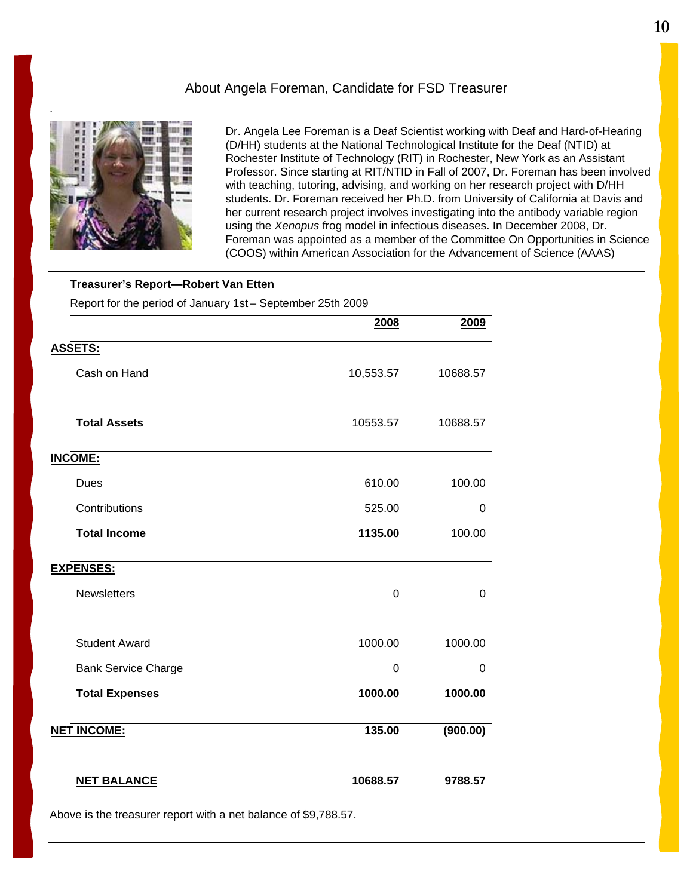### About Angela Foreman, Candidate for FSD Treasurer



Dr. Angela Lee Foreman is a Deaf Scientist working with Deaf and Hard-of-Hearing (D/HH) students at the National Technological Institute for the Deaf (NTID) at Rochester Institute of Technology (RIT) in Rochester, New York as an Assistant Professor. Since starting at RIT/NTID in Fall of 2007, Dr. Foreman has been involved with teaching, tutoring, advising, and working on her research project with D/HH students. Dr. Foreman received her Ph.D. from University of California at Davis and her current research project involves investigating into the antibody variable region using the *Xenopus* frog model in infectious diseases. In December 2008, Dr. Foreman was appointed as a member of the Committee On Opportunities in Science (COOS) within American Association for the Advancement of Science (AAAS)

#### **Treasurer's Report—Robert Van Etten**

Report for the period of January 1st – September 25th 2009

| 2008      | 2009           |
|-----------|----------------|
|           |                |
| 10,553.57 | 10688.57       |
| 10553.57  | 10688.57       |
|           |                |
| 610.00    | 100.00         |
| 525.00    | 0              |
| 1135.00   | 100.00         |
|           |                |
| 0         | $\overline{0}$ |
| 1000.00   | 1000.00        |
| 0         | 0              |
| 1000.00   | 1000.00        |
| 135.00    | (900.00)       |
| 10688.57  | 9788.57        |
|           |                |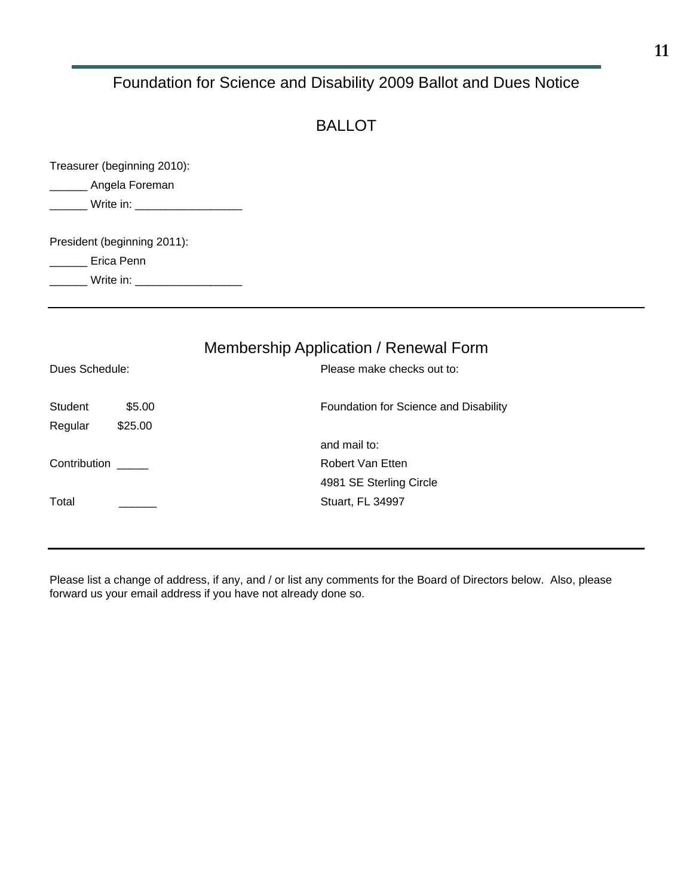### Foundation for Science and Disability 2009 Ballot and Dues Notice

### BALLOT

| Treasurer (beginning 2010): |  |
|-----------------------------|--|
| Angela Foreman              |  |
|                             |  |
|                             |  |
| President (beginning 2011): |  |
| Erica Penn                  |  |
| Write in:                   |  |
|                             |  |

### Membership Application / Renewal Form

| Dues Schedule: |         | Please make checks out to:            |
|----------------|---------|---------------------------------------|
| <b>Student</b> | \$5.00  | Foundation for Science and Disability |
| Regular        | \$25.00 |                                       |
|                |         | and mail to:                          |
| Contribution   |         | Robert Van Etten                      |
|                |         | 4981 SE Sterling Circle               |
| Total          |         | Stuart, FL 34997                      |
|                |         |                                       |

Please list a change of address, if any, and / or list any comments for the Board of Directors below. Also, please forward us your email address if you have not already done so.